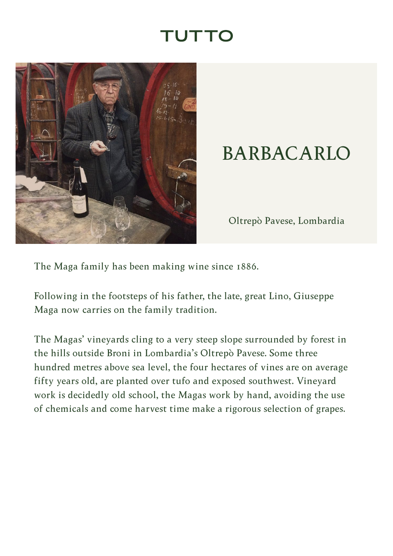## TUTTO

<span id="page-0-0"></span>

## BARBACARLO

Oltrepò Pavese, Lombardia

The Maga family has been making wine since 1886.

Following in the footsteps of his father, the late, great Lino, Giuseppe Maga now carries on the family tradition.

The Magas' vineyards cling to a very steep slope surrounded by forest in the hills outside Broni in Lombardia's Oltrepò Pavese. Some three hundred metres above sea level, the four hectares of vines are on average fifty years old, are planted over tufo and exposed southwest. Vineyard work is decidedly old school, the Magas work by hand, avoiding the use of chemicals and come harvest time make a rigorous selection of grapes.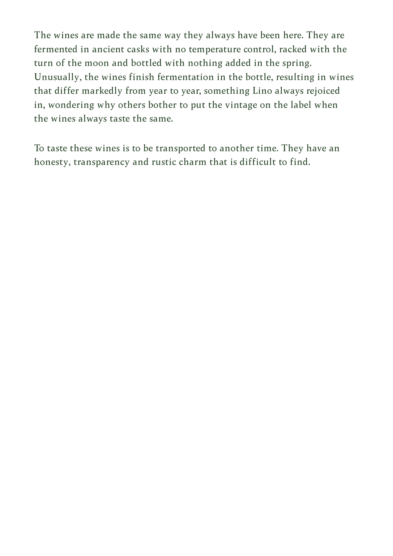The wines are made the same way they always have been here. They are fermented in ancient casks with no temperature control, racked with the turn of the moon and bottled with nothing added in the spring. Unusually, the wines finish fermentation in the bottle, resulting in wines that differ markedly from year to year, something Lino always rejoiced in, wondering why others bother to put the vintage on the label when the wines always taste the same.

To taste these wines is to be transported to another time. They have an honesty, transparency and rustic charm that is difficult to find.